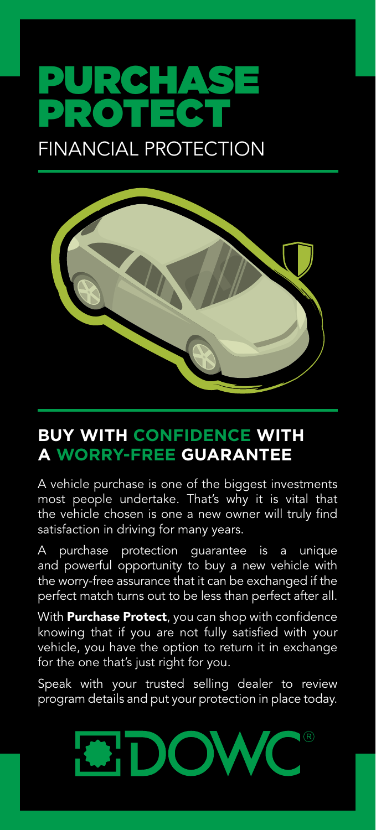## FINANCIAL PROTECTION PURCHASE PROTECT



## **BUY WITH CONFIDENCE WITH A WORRY-FREE GUARANTEE**

A vehicle purchase is one of the biggest investments most people undertake. That's why it is vital that the vehicle chosen is one a new owner will truly find satisfaction in driving for many years.

A purchase protection guarantee is a unique and powerful opportunity to buy a new vehicle with the worry-free assurance that it can be exchanged if the perfect match turns out to be less than perfect after all.

With **Purchase Protect**, you can shop with confidence knowing that if you are not fully satisfied with your vehicle, you have the option to return it in exchange for the one that's just right for you.

Speak with your trusted selling dealer to review program details and put your protection in place today.